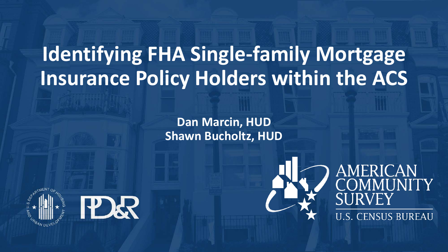# **Identifying FHA Single-family Mortgage Insurance Policy Holders within the ACS**

**Dan Marcin, HUD Shawn Bucholtz, HUD**





## **AMERICAN<br>COMMUNITY JRVEY** U.S. CENSUS BUREAU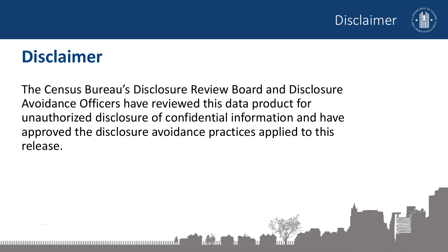

## **Disclaimer**

The Census Bureau's Disclosure Review Board and Disclosure Avoidance Officers have reviewed this data product for unauthorized disclosure of confidential information and have approved the disclosure avoidance practices applied to this release.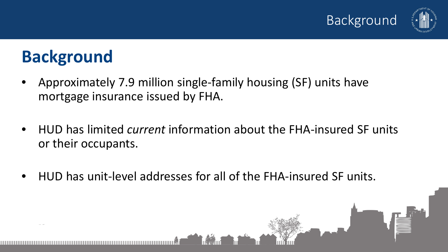



## **Background**

- Approximately 7.9 million single-family housing (SF) units have mortgage insurance issued by FHA.
- HUD has limited *current* information about the FHA-insured SF units or their occupants.

**Footer area**

• HUD has unit-level addresses for all of the FHA-insured SF units.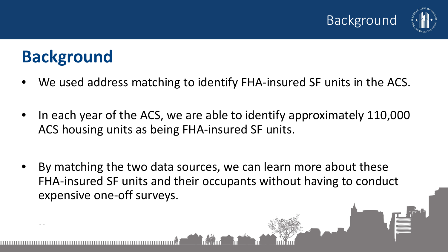



## **Background**

- We used address matching to identify FHA-insured SF units in the ACS.
- In each year of the ACS, we are able to identify approximately 110,000 ACS housing units as being FHA-insured SF units.
- By matching the two data sources, we can learn more about these FHA-insured SF units and their occupants without having to conduct expensive one-off surveys.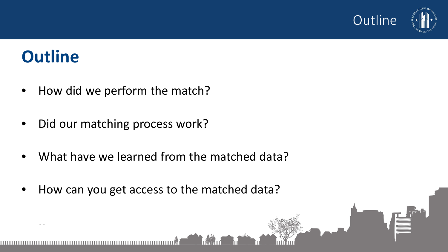

### **Outline**

- How did we perform the match?
- Did our matching process work?
- What have we learned from the matched data?
- How can you get access to the matched data?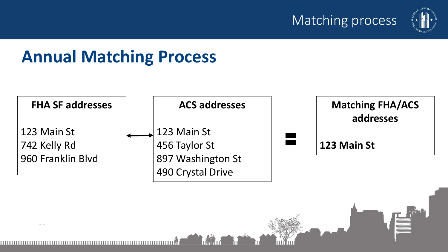#### Matching process



## **Annual Matching Process**

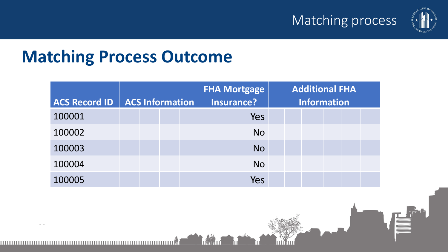



### **Matching Process Outcome**

|                      |                        | <b>FHA Mortgage</b> | <b>Additional FHA</b> |
|----------------------|------------------------|---------------------|-----------------------|
| <b>ACS Record ID</b> | <b>ACS Information</b> | Insurance?          | <b>Information</b>    |
| 100001               |                        | Yes                 |                       |
| 100002               |                        | <b>No</b>           |                       |
| 100003               |                        | <b>No</b>           |                       |
| 100004               |                        | <b>No</b>           |                       |
| 100005               |                        | Yes                 |                       |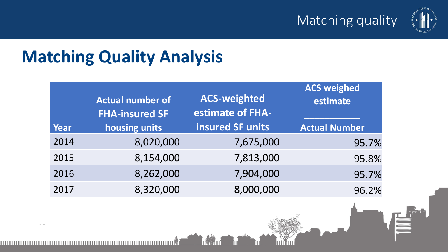



## **Matching Quality Analysis**

| Year | <b>Actual number of</b><br><b>FHA-insured SF</b><br>housing units | <b>ACS-weighted</b><br>estimate of FHA-<br>insured SF units | <b>ACS weighed</b><br>estimate<br><b>Actual Number</b> |
|------|-------------------------------------------------------------------|-------------------------------------------------------------|--------------------------------------------------------|
| 2014 | 8,020,000                                                         | 7,675,000                                                   | 95.7%                                                  |
| 2015 | 8,154,000                                                         | 7,813,000                                                   | 95.8%                                                  |
| 2016 | 8,262,000                                                         | 7,904,000                                                   | 95.7%                                                  |
| 2017 | 8,320,000                                                         | 8,000,000                                                   | 96.2%                                                  |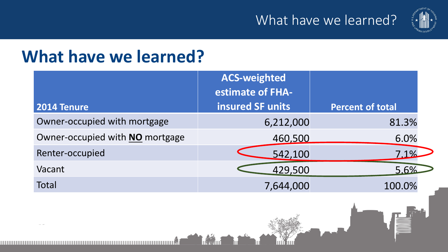

### **What have we learned?**

|                                 | <b>ACS-weighted</b><br>estimate of FHA- |                         |
|---------------------------------|-----------------------------------------|-------------------------|
| 2014 Tenure                     | insured SF units                        | <b>Percent of total</b> |
| Owner-occupied with mortgage    | 6,212,000                               | 81.3%                   |
| Owner-occupied with NO mortgage | 460,500                                 | 6.0%                    |
| Renter-occupied                 | 542,100                                 | 7.1%                    |
| Vacant                          | 429,500                                 | 5.6%                    |
| Total                           | 7,644,000                               | 100.0%                  |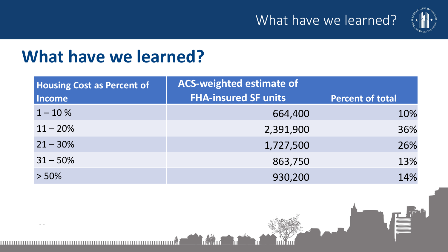

## **What have we learned?**

| <b>Housing Cost as Percent of</b> | <b>ACS-weighted estimate of</b> |                         |
|-----------------------------------|---------------------------------|-------------------------|
| <b>Income</b>                     | <b>FHA-insured SF units</b>     | <b>Percent of total</b> |
| $1 - 10%$                         | 664,400                         | 10%                     |
| $11 - 20\%$                       | 2,391,900                       | 36%                     |
| $21 - 30\%$                       | 1,727,500                       | 26%                     |
| $31 - 50\%$                       | 863,750                         | 13%                     |
| $> 50\%$                          | 930,200                         | 14%                     |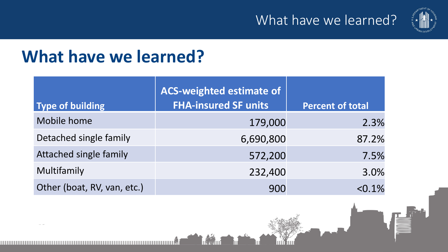

### **What have we learned?**

| Type of building            | <b>ACS-weighted estimate of</b><br><b>FHA-insured SF units</b> | <b>Percent of total</b> |
|-----------------------------|----------------------------------------------------------------|-------------------------|
| Mobile home                 | 179,000                                                        | 2.3%                    |
| Detached single family      | 6,690,800                                                      | 87.2%                   |
| Attached single family      | 572,200                                                        | 7.5%                    |
| Multifamily                 | 232,400                                                        | 3.0%                    |
| Other (boat, RV, van, etc.) | 900                                                            | $< 0.1\%$               |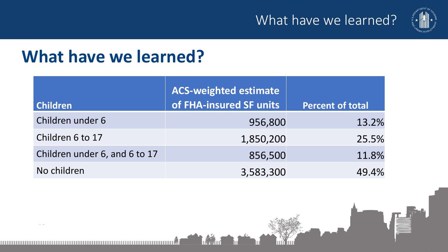

## **What have we learned?**

| <b>Children</b>               | <b>ACS-weighted estimate</b><br>of FHA-insured SF units | Percent of total |
|-------------------------------|---------------------------------------------------------|------------------|
| Children under 6              | 956,800                                                 | 13.2%            |
| Children 6 to 17              | 1,850,200                                               | 25.5%            |
| Children under 6, and 6 to 17 | 856,500                                                 | 11.8%            |
| No children                   | 3,583,300                                               | 49.4%            |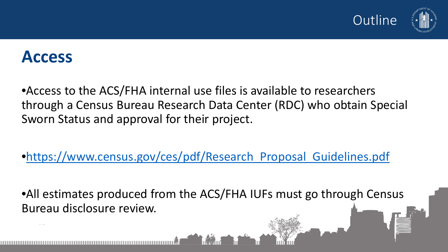

#### **Access**

•Access to the ACS/FHA internal use files is available to researchers through a Census Bureau Research Data Center (RDC) who obtain Special Sworn Status and approval for their project.

•[https://www.census.gov/ces/pdf/Research\\_Proposal\\_Guidelines.pdf](https://www.census.gov/ces/pdf/Research_Proposal_Guidelines.pdf)

• All estimates produced from the ACS/FHA IUFs must go through Census Bureau disclosure review.